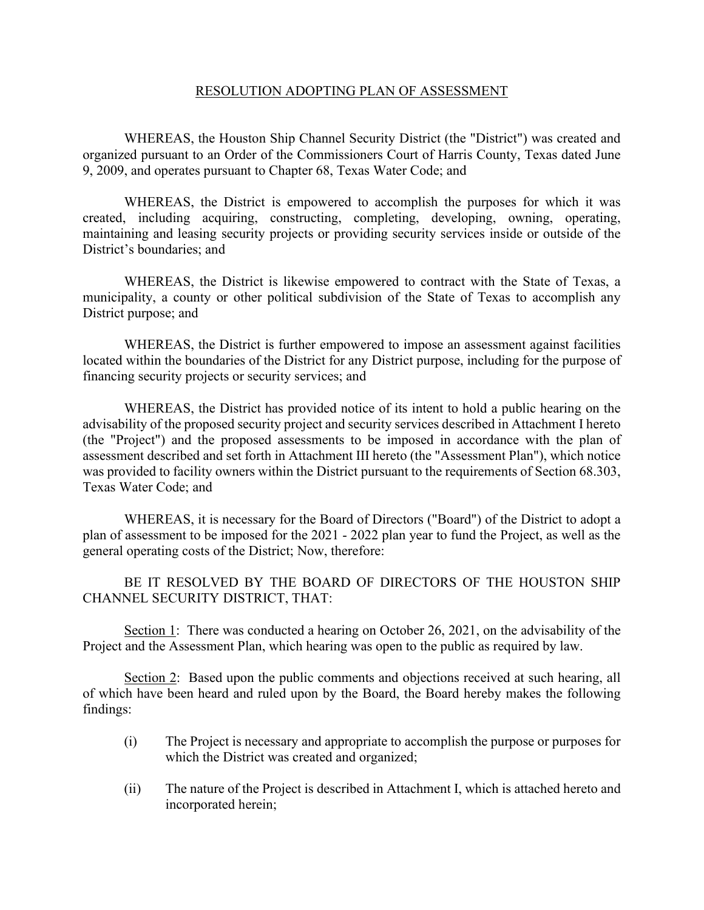### RESOLUTION ADOPTING PLAN OF ASSESSMENT

WHEREAS, the Houston Ship Channel Security District (the "District") was created and organized pursuant to an Order of the Commissioners Court of Harris County, Texas dated June 9, 2009, and operates pursuant to Chapter 68, Texas Water Code; and

WHEREAS, the District is empowered to accomplish the purposes for which it was created, including acquiring, constructing, completing, developing, owning, operating, maintaining and leasing security projects or providing security services inside or outside of the District's boundaries; and

WHEREAS, the District is likewise empowered to contract with the State of Texas, a municipality, a county or other political subdivision of the State of Texas to accomplish any District purpose; and

WHEREAS, the District is further empowered to impose an assessment against facilities located within the boundaries of the District for any District purpose, including for the purpose of financing security projects or security services; and

WHEREAS, the District has provided notice of its intent to hold a public hearing on the advisability of the proposed security project and security services described in Attachment I hereto (the "Project") and the proposed assessments to be imposed in accordance with the plan of assessment described and set forth in Attachment III hereto (the "Assessment Plan"), which notice was provided to facility owners within the District pursuant to the requirements of Section 68.303, Texas Water Code; and

WHEREAS, it is necessary for the Board of Directors ("Board") of the District to adopt a plan of assessment to be imposed for the 2021 - 2022 plan year to fund the Project, as well as the general operating costs of the District; Now, therefore:

BE IT RESOLVED BY THE BOARD OF DIRECTORS OF THE HOUSTON SHIP CHANNEL SECURITY DISTRICT, THAT:

Section 1: There was conducted a hearing on October 26, 2021, on the advisability of the Project and the Assessment Plan, which hearing was open to the public as required by law.

Section 2: Based upon the public comments and objections received at such hearing, all of which have been heard and ruled upon by the Board, the Board hereby makes the following findings:

- (i) The Project is necessary and appropriate to accomplish the purpose or purposes for which the District was created and organized;
- (ii) The nature of the Project is described in Attachment I, which is attached hereto and incorporated herein;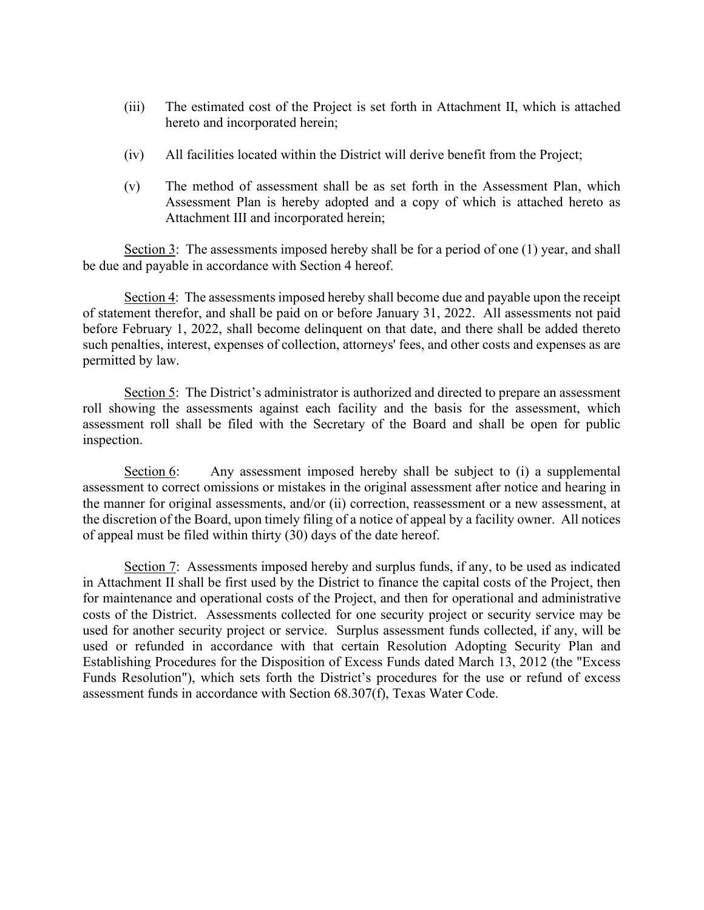- (iii) The estimated cost of the Project is set forth in Attachment II, which is attached hereto and incorporated herein;
- (iv) All facilities located within the District will derive benefit from the Project;
- (v) The method of assessment shall be as set forth in the Assessment Plan, which Assessment Plan is hereby adopted and a copy of which is attached hereto as Attachment III and incorporated herein;

Section 3: The assessments imposed hereby shall be for a period of one (1) year, and shall be due and payable in accordance with Section 4 hereof.

Section 4: The assessments imposed hereby shall become due and payable upon the receipt of statement therefor, and shall be paid on or before January 31, 2022. All assessments not paid before February 1, 2022, shall become delinquent on that date, and there shall be added thereto such penalties, interest, expenses of collection, attorneys' fees, and other costs and expenses as are permitted by law.

Section 5: The District's administrator is authorized and directed to prepare an assessment roll showing the assessments against each facility and the basis for the assessment, which assessment roll shall be filed with the Secretary of the Board and shall be open for public inspection.

Section 6: Any assessment imposed hereby shall be subject to (i) a supplemental assessment to correct omissions or mistakes in the original assessment after notice and hearing in the manner for original assessments, and/or (ii) correction, reassessment or a new assessment, at the discretion of the Board, upon timely filing of a notice of appeal by a facility owner. All notices of appeal must be filed within thirty (30) days of the date hereof.

Section 7: Assessments imposed hereby and surplus funds, if any, to be used as indicated in Attachment II shall be first used by the District to finance the capital costs of the Project, then for maintenance and operational costs of the Project, and then for operational and administrative costs of the District. Assessments collected for one security project or security service may be used for another security project or service. Surplus assessment funds collected, if any, will be used or refunded in accordance with that certain Resolution Adopting Security Plan and Establishing Procedures for the Disposition of Excess Funds dated March 13, 2012 (the "Excess Funds Resolution"), which sets forth the District's procedures for the use or refund of excess assessment funds in accordance with Section 68.307(f), Texas Water Code.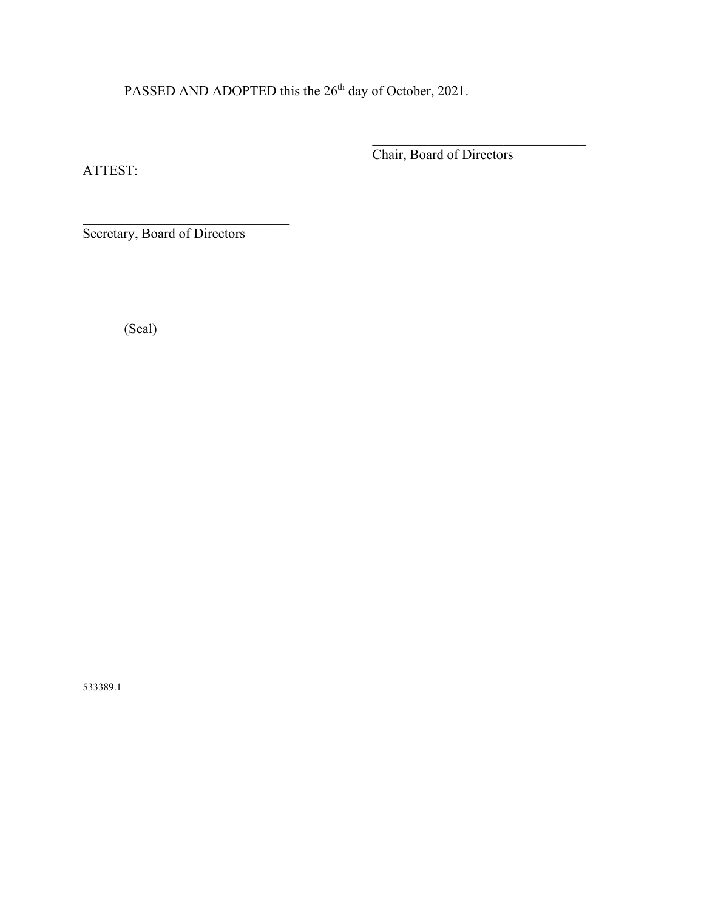PASSED AND ADOPTED this the 26<sup>th</sup> day of October, 2021.

ATTEST:

 $\mathcal{L}_\mathcal{L}$ Chair, Board of Directors

\_\_\_\_\_\_\_\_\_\_\_\_\_\_\_\_\_\_\_\_\_\_\_\_\_\_\_\_\_\_ Secretary, Board of Directors

(Seal)

533389.1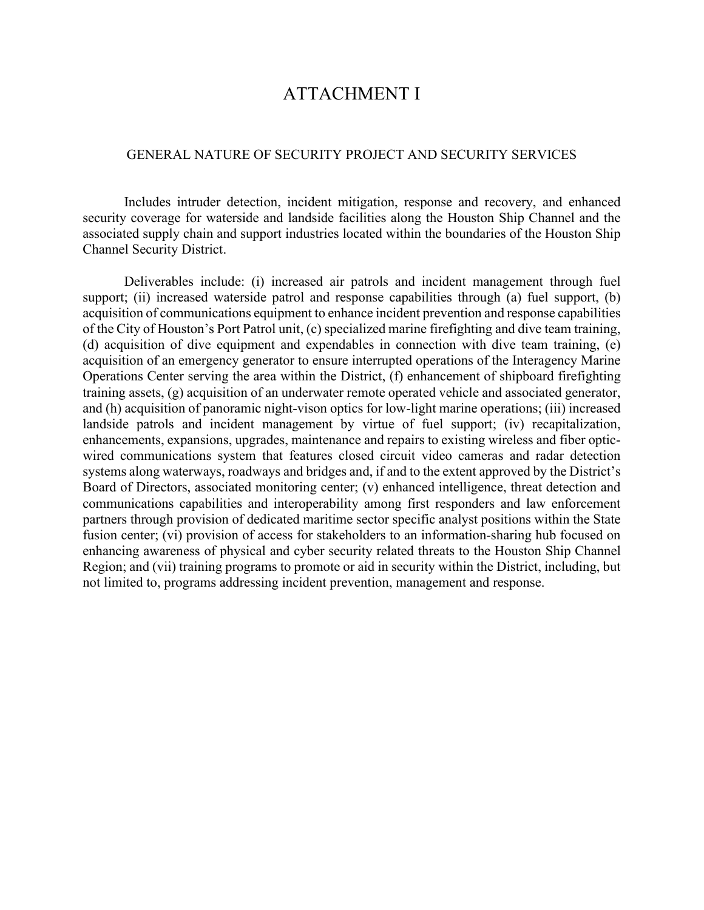# ATTACHMENT I

### GENERAL NATURE OF SECURITY PROJECT AND SECURITY SERVICES

Includes intruder detection, incident mitigation, response and recovery, and enhanced security coverage for waterside and landside facilities along the Houston Ship Channel and the associated supply chain and support industries located within the boundaries of the Houston Ship Channel Security District.

Deliverables include: (i) increased air patrols and incident management through fuel support; (ii) increased waterside patrol and response capabilities through (a) fuel support, (b) acquisition of communications equipment to enhance incident prevention and response capabilities of the City of Houston's Port Patrol unit, (c) specialized marine firefighting and dive team training, (d) acquisition of dive equipment and expendables in connection with dive team training, (e) acquisition of an emergency generator to ensure interrupted operations of the Interagency Marine Operations Center serving the area within the District, (f) enhancement of shipboard firefighting training assets, (g) acquisition of an underwater remote operated vehicle and associated generator, and (h) acquisition of panoramic night-vison optics for low-light marine operations; (iii) increased landside patrols and incident management by virtue of fuel support; (iv) recapitalization, enhancements, expansions, upgrades, maintenance and repairs to existing wireless and fiber opticwired communications system that features closed circuit video cameras and radar detection systems along waterways, roadways and bridges and, if and to the extent approved by the District's Board of Directors, associated monitoring center; (v) enhanced intelligence, threat detection and communications capabilities and interoperability among first responders and law enforcement partners through provision of dedicated maritime sector specific analyst positions within the State fusion center; (vi) provision of access for stakeholders to an information-sharing hub focused on enhancing awareness of physical and cyber security related threats to the Houston Ship Channel Region; and (vii) training programs to promote or aid in security within the District, including, but not limited to, programs addressing incident prevention, management and response.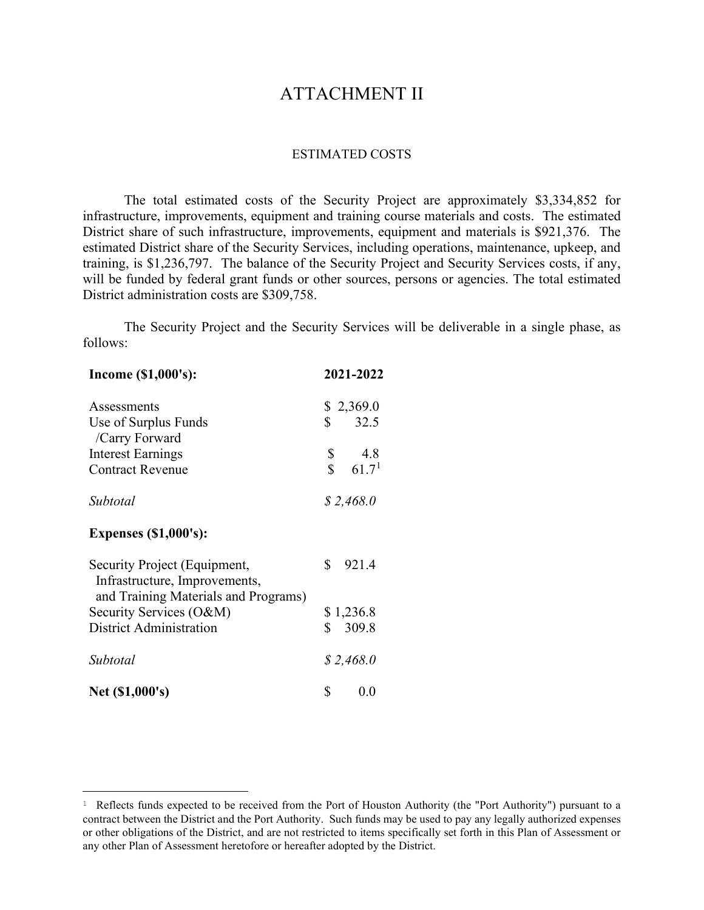# ATTACHMENT II

#### ESTIMATED COSTS

The total estimated costs of the Security Project are approximately \$3,334,852 for infrastructure, improvements, equipment and training course materials and costs. The estimated District share of such infrastructure, improvements, equipment and materials is \$921,376. The estimated District share of the Security Services, including operations, maintenance, upkeep, and training, is \$1,236,797. The balance of the Security Project and Security Services costs, if any, will be funded by federal grant funds or other sources, persons or agencies. The total estimated District administration costs are \$309,758.

The Security Project and the Security Services will be deliverable in a single phase, as follows:

| Income (\$1,000's):                                                                                   | 2021-2022                         |  |  |
|-------------------------------------------------------------------------------------------------------|-----------------------------------|--|--|
| Assessments                                                                                           | \$2,369.0                         |  |  |
| Use of Surplus Funds<br>/Carry Forward                                                                | \$<br>32.5                        |  |  |
| <b>Interest Earnings</b>                                                                              | \$<br>4.8                         |  |  |
| <b>Contract Revenue</b>                                                                               | $\mathbb{S}$<br>61.7 <sup>1</sup> |  |  |
| Subtotal                                                                                              | \$2,468.0                         |  |  |
| <b>Expenses (\$1,000's):</b>                                                                          |                                   |  |  |
| Security Project (Equipment,<br>Infrastructure, Improvements,<br>and Training Materials and Programs) | \$<br>921.4                       |  |  |
| Security Services (O&M)                                                                               | \$1,236.8                         |  |  |
| <b>District Administration</b>                                                                        | \$<br>309.8                       |  |  |
| Subtotal                                                                                              | \$2,468.0                         |  |  |
| Net (\$1,000's)                                                                                       | \$<br>0.0                         |  |  |

<span id="page-4-0"></span><sup>&</sup>lt;sup>1</sup> Reflects funds expected to be received from the Port of Houston Authority (the "Port Authority") pursuant to a contract between the District and the Port Authority. Such funds may be used to pay any legally authorized expenses or other obligations of the District, and are not restricted to items specifically set forth in this Plan of Assessment or any other Plan of Assessment heretofore or hereafter adopted by the District.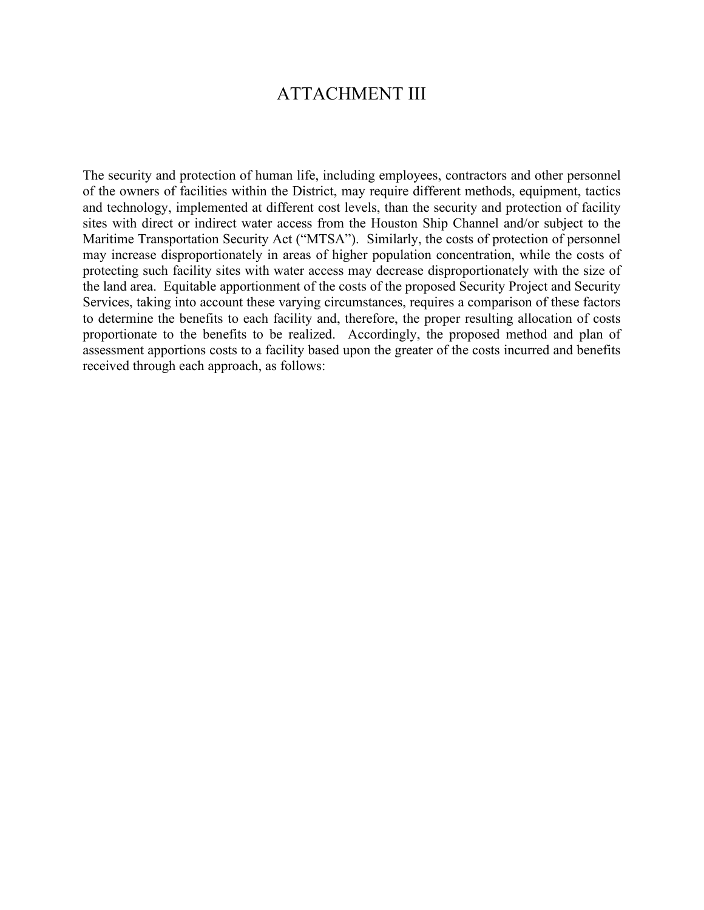# ATTACHMENT III

The security and protection of human life, including employees, contractors and other personnel of the owners of facilities within the District, may require different methods, equipment, tactics and technology, implemented at different cost levels, than the security and protection of facility sites with direct or indirect water access from the Houston Ship Channel and/or subject to the Maritime Transportation Security Act ("MTSA"). Similarly, the costs of protection of personnel may increase disproportionately in areas of higher population concentration, while the costs of protecting such facility sites with water access may decrease disproportionately with the size of the land area. Equitable apportionment of the costs of the proposed Security Project and Security Services, taking into account these varying circumstances, requires a comparison of these factors to determine the benefits to each facility and, therefore, the proper resulting allocation of costs proportionate to the benefits to be realized. Accordingly, the proposed method and plan of assessment apportions costs to a facility based upon the greater of the costs incurred and benefits received through each approach, as follows: